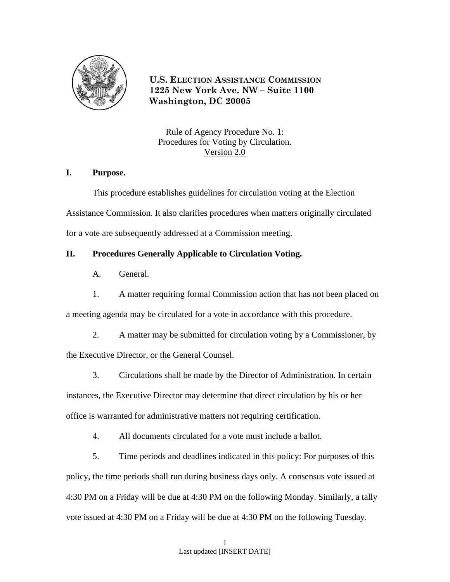

**U.S. ELECTION ASSISTANCE COMMISSION 1225 New York Ave. NW – Suite 1100 Washington, DC 20005**

Rule of Agency Procedure No. 1: Procedures for Voting by Circulation. Version 2.0

## **I. Purpose.**

This procedure establishes guidelines for circulation voting at the Election Assistance Commission. It also clarifies procedures when matters originally circulated for a vote are subsequently addressed at a Commission meeting.

# **II. Procedures Generally Applicable to Circulation Voting.**

- A. General.
- 1. A matter requiring formal Commission action that has not been placed on

a meeting agenda may be circulated for a vote in accordance with this procedure.

2. A matter may be submitted for circulation voting by a Commissioner, by

the Executive Director, or the General Counsel.

 3. Circulations shall be made by the Director of Administration. In certain instances, the Executive Director may determine that direct circulation by his or her office is warranted for administrative matters not requiring certification.

4. All documents circulated for a vote must include a ballot.

 5. Time periods and deadlines indicated in this policy: For purposes of this policy, the time periods shall run during business days only. A consensus vote issued at 4:30 PM on a Friday will be due at 4:30 PM on the following Monday. Similarly, a tally vote issued at 4:30 PM on a Friday will be due at 4:30 PM on the following Tuesday.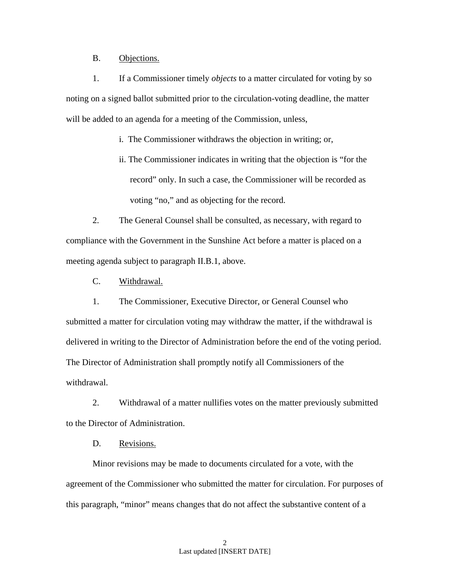#### B. Objections.

1. If a Commissioner timely *objects* to a matter circulated for voting by so noting on a signed ballot submitted prior to the circulation-voting deadline, the matter will be added to an agenda for a meeting of the Commission, unless,

i. The Commissioner withdraws the objection in writing; or,

ii. The Commissioner indicates in writing that the objection is "for the record" only. In such a case, the Commissioner will be recorded as voting "no," and as objecting for the record.

 2. The General Counsel shall be consulted, as necessary, with regard to compliance with the Government in the Sunshine Act before a matter is placed on a meeting agenda subject to paragraph II.B.1, above.

C. Withdrawal.

1. The Commissioner, Executive Director, or General Counsel who submitted a matter for circulation voting may withdraw the matter, if the withdrawal is delivered in writing to the Director of Administration before the end of the voting period. The Director of Administration shall promptly notify all Commissioners of the withdrawal.

2. Withdrawal of a matter nullifies votes on the matter previously submitted to the Director of Administration.

D. Revisions.

Minor revisions may be made to documents circulated for a vote, with the agreement of the Commissioner who submitted the matter for circulation. For purposes of this paragraph, "minor" means changes that do not affect the substantive content of a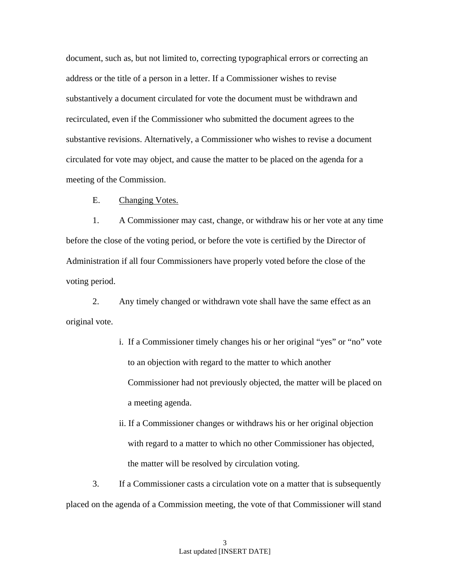document, such as, but not limited to, correcting typographical errors or correcting an address or the title of a person in a letter. If a Commissioner wishes to revise substantively a document circulated for vote the document must be withdrawn and recirculated, even if the Commissioner who submitted the document agrees to the substantive revisions. Alternatively, a Commissioner who wishes to revise a document circulated for vote may object, and cause the matter to be placed on the agenda for a meeting of the Commission.

E. Changing Votes.

1. A Commissioner may cast, change, or withdraw his or her vote at any time before the close of the voting period, or before the vote is certified by the Director of Administration if all four Commissioners have properly voted before the close of the voting period.

2. Any timely changed or withdrawn vote shall have the same effect as an original vote.

- i. If a Commissioner timely changes his or her original "yes" or "no" vote to an objection with regard to the matter to which another Commissioner had not previously objected, the matter will be placed on a meeting agenda.
- ii. If a Commissioner changes or withdraws his or her original objection with regard to a matter to which no other Commissioner has objected, the matter will be resolved by circulation voting.

 3. If a Commissioner casts a circulation vote on a matter that is subsequently placed on the agenda of a Commission meeting, the vote of that Commissioner will stand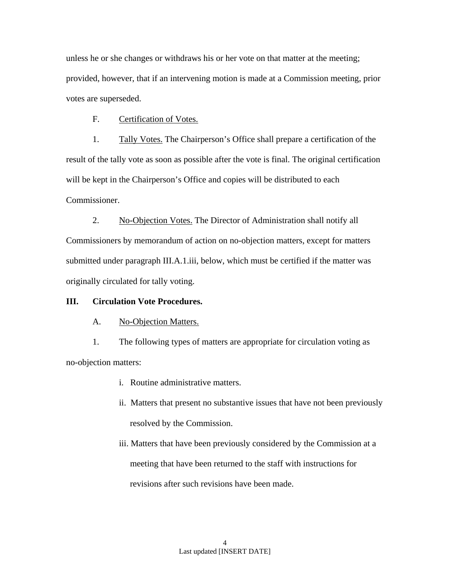unless he or she changes or withdraws his or her vote on that matter at the meeting; provided, however, that if an intervening motion is made at a Commission meeting, prior votes are superseded.

F. Certification of Votes.

1. Tally Votes. The Chairperson's Office shall prepare a certification of the result of the tally vote as soon as possible after the vote is final. The original certification will be kept in the Chairperson's Office and copies will be distributed to each Commissioner.

2. No-Objection Votes. The Director of Administration shall notify all Commissioners by memorandum of action on no-objection matters, except for matters submitted under paragraph III.A.1.iii, below, which must be certified if the matter was originally circulated for tally voting.

## **III. Circulation Vote Procedures.**

## A. No-Objection Matters.

1. The following types of matters are appropriate for circulation voting as no-objection matters:

- i. Routine administrative matters.
- ii. Matters that present no substantive issues that have not been previously resolved by the Commission.
- iii. Matters that have been previously considered by the Commission at a meeting that have been returned to the staff with instructions for revisions after such revisions have been made.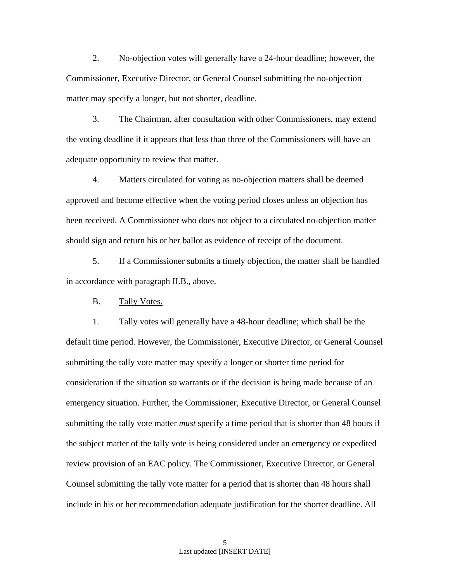2. No-objection votes will generally have a 24-hour deadline; however, the Commissioner, Executive Director, or General Counsel submitting the no-objection matter may specify a longer, but not shorter, deadline.

3. The Chairman, after consultation with other Commissioners, may extend the voting deadline if it appears that less than three of the Commissioners will have an adequate opportunity to review that matter.

4. Matters circulated for voting as no-objection matters shall be deemed approved and become effective when the voting period closes unless an objection has been received. A Commissioner who does not object to a circulated no-objection matter should sign and return his or her ballot as evidence of receipt of the document.

5. If a Commissioner submits a timely objection, the matter shall be handled in accordance with paragraph II.B., above.

B. Tally Votes.

 1. Tally votes will generally have a 48-hour deadline; which shall be the default time period. However, the Commissioner, Executive Director, or General Counsel submitting the tally vote matter may specify a longer or shorter time period for consideration if the situation so warrants or if the decision is being made because of an emergency situation. Further, the Commissioner, Executive Director, or General Counsel submitting the tally vote matter *must* specify a time period that is shorter than 48 hours if the subject matter of the tally vote is being considered under an emergency or expedited review provision of an EAC policy. The Commissioner, Executive Director, or General Counsel submitting the tally vote matter for a period that is shorter than 48 hours shall include in his or her recommendation adequate justification for the shorter deadline. All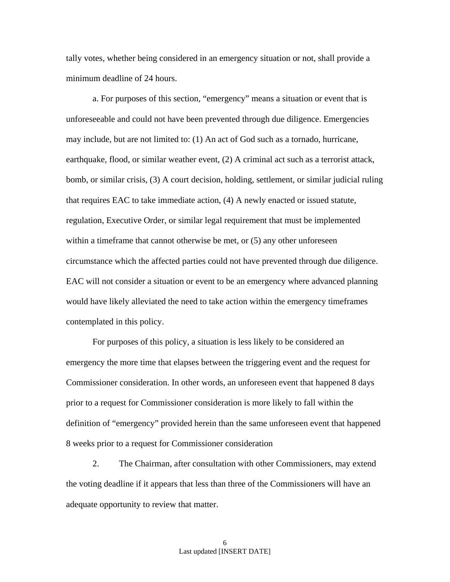tally votes, whether being considered in an emergency situation or not, shall provide a minimum deadline of 24 hours.

 a. For purposes of this section, "emergency" means a situation or event that is unforeseeable and could not have been prevented through due diligence. Emergencies may include, but are not limited to: (1) An act of God such as a tornado, hurricane, earthquake, flood, or similar weather event, (2) A criminal act such as a terrorist attack, bomb, or similar crisis, (3) A court decision, holding, settlement, or similar judicial ruling that requires EAC to take immediate action, (4) A newly enacted or issued statute, regulation, Executive Order, or similar legal requirement that must be implemented within a timeframe that cannot otherwise be met, or  $(5)$  any other unforeseen circumstance which the affected parties could not have prevented through due diligence. EAC will not consider a situation or event to be an emergency where advanced planning would have likely alleviated the need to take action within the emergency timeframes contemplated in this policy.

 For purposes of this policy, a situation is less likely to be considered an emergency the more time that elapses between the triggering event and the request for Commissioner consideration. In other words, an unforeseen event that happened 8 days prior to a request for Commissioner consideration is more likely to fall within the definition of "emergency" provided herein than the same unforeseen event that happened 8 weeks prior to a request for Commissioner consideration

 2. The Chairman, after consultation with other Commissioners, may extend the voting deadline if it appears that less than three of the Commissioners will have an adequate opportunity to review that matter.